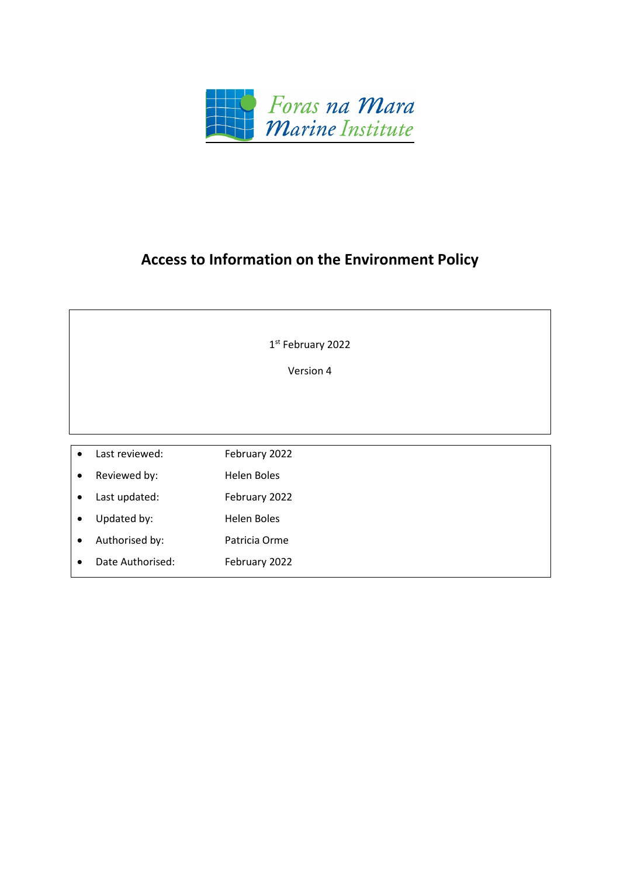

# **Access to Information on the Environment Policy**

| 1 <sup>st</sup> February 2022 |                  |                    |
|-------------------------------|------------------|--------------------|
| Version 4                     |                  |                    |
|                               |                  |                    |
|                               |                  |                    |
|                               |                  |                    |
| $\bullet$                     | Last reviewed:   | February 2022      |
| $\bullet$                     | Reviewed by:     | <b>Helen Boles</b> |
| $\bullet$                     | Last updated:    | February 2022      |
| $\bullet$                     | Updated by:      | <b>Helen Boles</b> |
| $\bullet$                     | Authorised by:   | Patricia Orme      |
| ٠                             | Date Authorised: | February 2022      |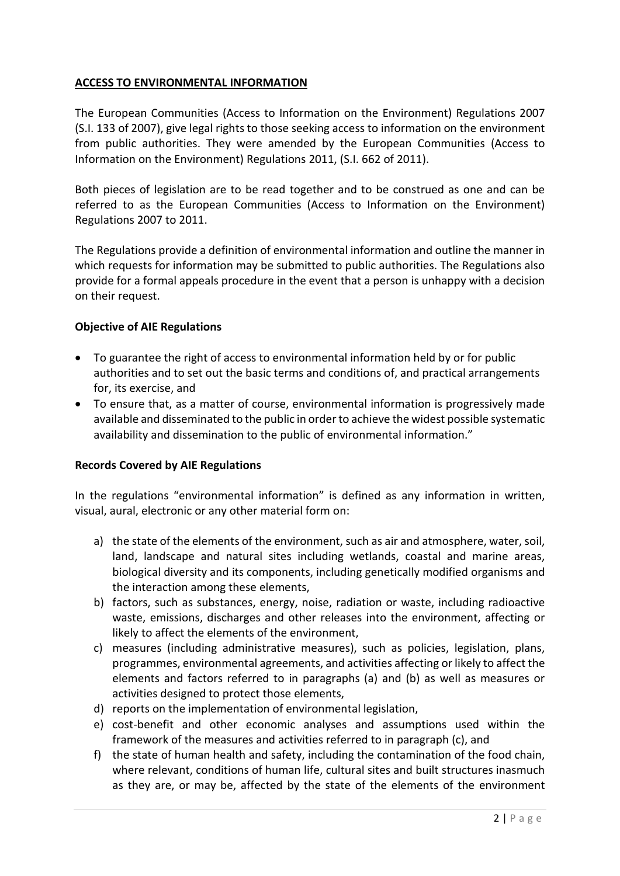# **ACCESS TO ENVIRONMENTAL INFORMATION**

The [European Communities \(Access to Information on the Environment\) Regulations 2007](http://www.irishstatutebook.ie/2007/en/si/0133.html)  [\(S.I. 133 of 2007\),](http://www.irishstatutebook.ie/2007/en/si/0133.html) give legal rights to those seeking access to information on the environment from public authorities. They were amended by the [European Communities \(Access to](http://www.irishstatutebook.ie/2011/en/si/0662.html)  [Information on the Environment\) Regulations 2011, \(S.I. 662 of 2011\).](http://www.irishstatutebook.ie/2011/en/si/0662.html)

Both pieces of legislation are to be read together and to be construed as one and can be referred to as the European Communities (Access to Information on the Environment) Regulations 2007 to 2011.

The Regulations provide a definition of environmental information and outline the manner in which requests for information may be submitted to public authorities. The Regulations also provide for a formal appeals procedure in the event that a person is unhappy with a decision on their request.

# **Objective of AIE Regulations**

- To guarantee the right of access to environmental information held by or for public authorities and to set out the basic terms and conditions of, and practical arrangements for, its exercise, and
- To ensure that, as a matter of course, environmental information is progressively made available and disseminated to the public in order to achieve the widest possible systematic availability and dissemination to the public of environmental information."

# **Records Covered by AIE Regulations**

In the regulations "environmental information" is defined as any information in written, visual, aural, electronic or any other material form on:

- a) the state of the elements of the environment, such as air and atmosphere, water, soil, land, landscape and natural sites including wetlands, coastal and marine areas, biological diversity and its components, including genetically modified organisms and the interaction among these elements,
- b) factors, such as substances, energy, noise, radiation or waste, including radioactive waste, emissions, discharges and other releases into the environment, affecting or likely to affect the elements of the environment,
- c) measures (including administrative measures), such as policies, legislation, plans, programmes, environmental agreements, and activities affecting or likely to affect the elements and factors referred to in paragraphs (a) and (b) as well as measures or activities designed to protect those elements,
- d) reports on the implementation of environmental legislation,
- e) cost-benefit and other economic analyses and assumptions used within the framework of the measures and activities referred to in paragraph (c), and
- f) the state of human health and safety, including the contamination of the food chain, where relevant, conditions of human life, cultural sites and built structures inasmuch as they are, or may be, affected by the state of the elements of the environment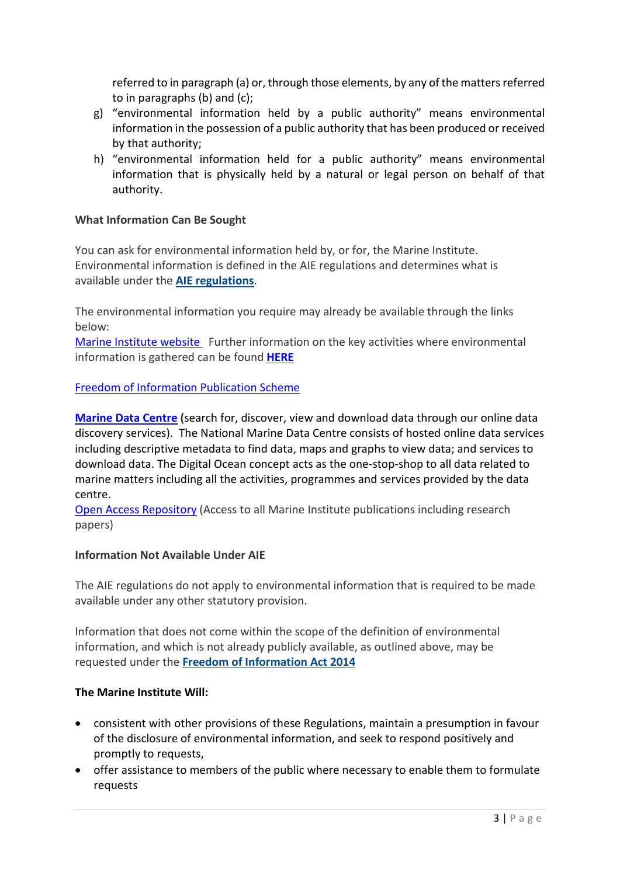referred to in paragraph (a) or, through those elements, by any of the matters referred to in paragraphs (b) and (c);

- g) "environmental information held by a public authority" means environmental information in the possession of a public authority that has been produced or received by that authority;
- h) "environmental information held for a public authority" means environmental information that is physically held by a natural or legal person on behalf of that authority.

# **What Information Can Be Sought**

You can ask for environmental information held by, or for, the Marine Institute. Environmental information is defined in the AIE regulations and determines what is available under the **AIE [regulations](https://www.gov.ie/en/organisation-information/1e52cb-access-to-information-on-the-environment-aie/#aie-legislation)**.

The environmental information you require may already be available through the links below:

[Marine Institute website](http://www.marine.ie/) Further information on the key activities where environmental information is gathered can be found **[HERE](https://www.marine.ie/Home/site-area/areas-activity/areas-activity)**

# [Freedom of Information Publication Scheme](https://www.marine.ie/Home/site-area/online-policies/foi-publication-scheme)

**[Marine Data Centre](https://www.marine.ie/Home/site-area/data-services/marine-data-centre) (**search for, discover, view and download data through our online data discovery services). The National Marine Data Centre consists of hosted online data services including descriptive metadata to find data, maps and graphs to view data; and services to download data. The Digital Ocean concept acts as the one-stop-shop to all data related to marine matters including all the activities, programmes and services provided by the data centre.

[Open Access Repository](https://oar.marine.ie/discover) (Access to all Marine Institute publications including research papers)

# **Information Not Available Under AIE**

The AIE regulations do not apply to environmental information that is required to be made available under any other statutory provision.

Information that does not come within the scope of the definition of environmental information, and which is not already publicly available, as outlined above, may be requested under the **Freedom of [Information](https://www.oireachtas.ie/en/bills/bill/2013/89/) Act 2014**

# **The Marine Institute Will:**

- consistent with other provisions of these Regulations, maintain a presumption in favour of the disclosure of environmental information, and seek to respond positively and promptly to requests,
- offer assistance to members of the public where necessary to enable them to formulate requests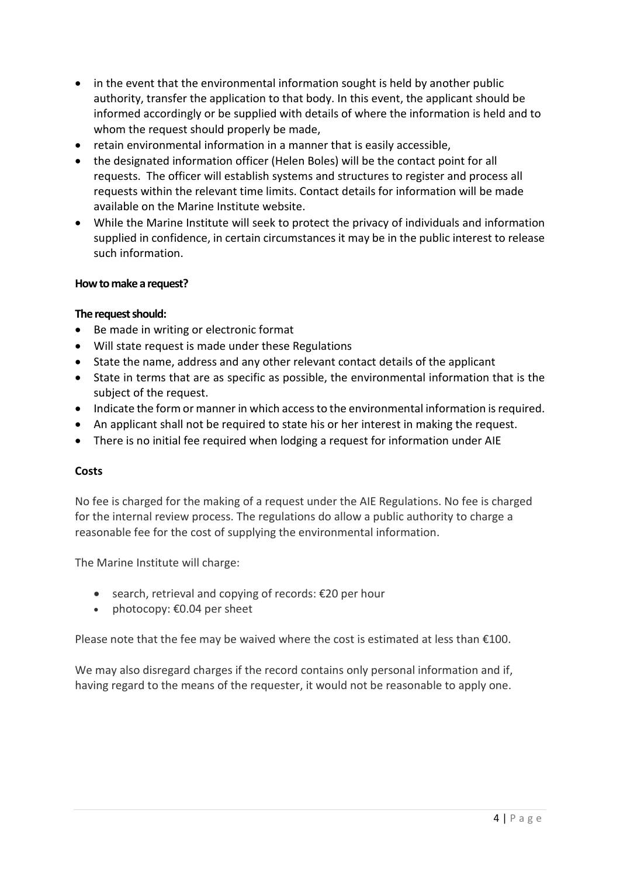- in the event that the environmental information sought is held by another public authority, transfer the application to that body. In this event, the applicant should be informed accordingly or be supplied with details of where the information is held and to whom the request should properly be made,
- retain environmental information in a manner that is easily accessible,
- the designated information officer (Helen Boles) will be the contact point for all requests. The officer will establish systems and structures to register and process all requests within the relevant time limits. Contact details for information will be made available on the Marine Institute website.
- While the Marine Institute will seek to protect the privacy of individuals and information supplied in confidence, in certain circumstances it may be in the public interest to release such information.

## **How to make a request?**

#### **The request should:**

- Be made in writing or electronic format
- Will state request is made under these Regulations
- State the name, address and any other relevant contact details of the applicant
- State in terms that are as specific as possible, the environmental information that is the subject of the request.
- Indicate the form or manner in which access to the environmental information is required.
- An applicant shall not be required to state his or her interest in making the request.
- There is no initial fee required when lodging a request for information under AIE

## **Costs**

No fee is charged for the making of a request under the AIE Regulations. No fee is charged for the internal review process. The regulations do allow a public authority to charge a reasonable fee for the cost of supplying the environmental information.

The Marine Institute will charge:

- search, retrieval and copying of records: €20 per hour
- photocopy: €0.04 per sheet

Please note that the fee may be waived where the cost is estimated at less than  $£100$ .

We may also disregard charges if the record contains only personal information and if, having regard to the means of the requester, it would not be reasonable to apply one.